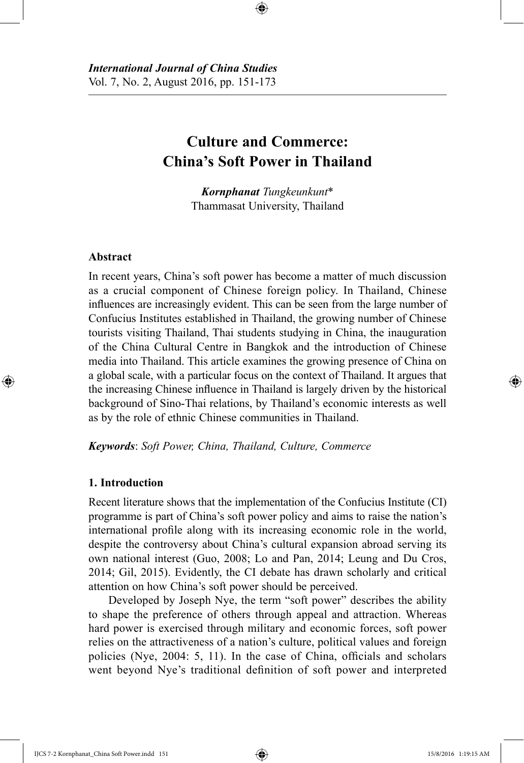# **Culture and Commerce: China's Soft Power in Thailand**

⊕

*Kornphanat Tungkeunkunt*\* Thammasat University, Thailand

#### **Abstract**

⊕

In recent years, China's soft power has become a matter of much discussion as a crucial component of Chinese foreign policy. In Thailand, Chinese influences are increasingly evident. This can be seen from the large number of Confucius Institutes established in Thailand, the growing number of Chinese tourists visiting Thailand, Thai students studying in China, the inauguration of the China Cultural Centre in Bangkok and the introduction of Chinese media into Thailand. This article examines the growing presence of China on a global scale, with a particular focus on the context of Thailand. It argues that the increasing Chinese influence in Thailand is largely driven by the historical background of Sino-Thai relations, by Thailand's economic interests as well as by the role of ethnic Chinese communities in Thailand.

*Keywords*: *Soft Power, China, Thailand, Culture, Commerce*

#### **1. Introduction**

Recent literature shows that the implementation of the Confucius Institute (CI) programme is part of China's soft power policy and aims to raise the nation's international profile along with its increasing economic role in the world, despite the controversy about China's cultural expansion abroad serving its own national interest (Guo, 2008; Lo and Pan, 2014; Leung and Du Cros, 2014; Gil, 2015). Evidently, the CI debate has drawn scholarly and critical attention on how China's soft power should be perceived.

Developed by Joseph Nye, the term "soft power" describes the ability to shape the preference of others through appeal and attraction. Whereas hard power is exercised through military and economic forces, soft power relies on the attractiveness of a nation's culture, political values and foreign policies (Nye, 2004: 5, 11). In the case of China, officials and scholars went beyond Nye's traditional definition of soft power and interpreted

IJCS 7-2 Kornphanat\_China Soft Power.indd 151 15/8/2016 1:19:15 AM

↔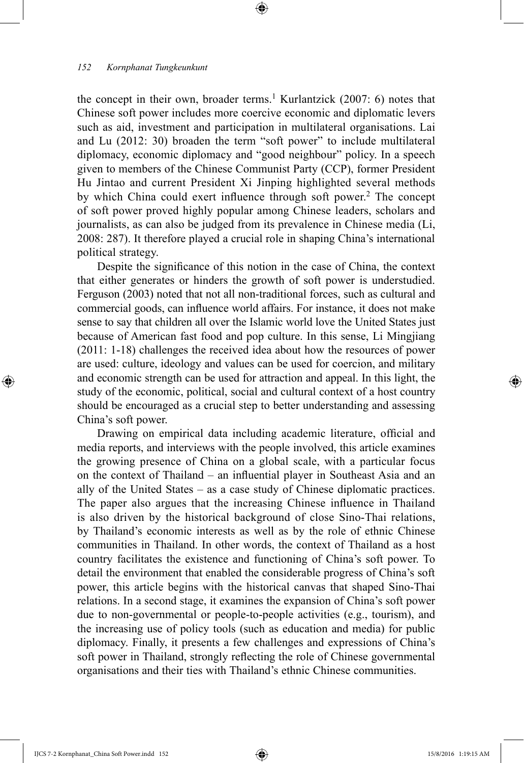the concept in their own, broader terms.<sup>1</sup> Kurlantzick (2007: 6) notes that Chinese soft power includes more coercive economic and diplomatic levers such as aid, investment and participation in multilateral organisations. Lai and Lu (2012: 30) broaden the term "soft power" to include multilateral diplomacy, economic diplomacy and "good neighbour" policy. In a speech given to members of the Chinese Communist Party (CCP), former President Hu Jintao and current President Xi Jinping highlighted several methods by which China could exert influence through soft power.<sup>2</sup> The concept of soft power proved highly popular among Chinese leaders, scholars and journalists, as can also be judged from its prevalence in Chinese media (Li, 2008: 287). It therefore played a crucial role in shaping China's international political strategy.

⊕

Despite the significance of this notion in the case of China, the context that either generates or hinders the growth of soft power is understudied. Ferguson (2003) noted that not all non-traditional forces, such as cultural and commercial goods, can influence world affairs. For instance, it does not make sense to say that children all over the Islamic world love the United States just because of American fast food and pop culture. In this sense, Li Mingjiang (2011: 1-18) challenges the received idea about how the resources of power are used: culture, ideology and values can be used for coercion, and military and economic strength can be used for attraction and appeal. In this light, the study of the economic, political, social and cultural context of a host country should be encouraged as a crucial step to better understanding and assessing China's soft power.

Drawing on empirical data including academic literature, official and media reports, and interviews with the people involved, this article examines the growing presence of China on a global scale, with a particular focus on the context of Thailand – an influential player in Southeast Asia and an ally of the United States – as a case study of Chinese diplomatic practices. The paper also argues that the increasing Chinese influence in Thailand is also driven by the historical background of close Sino-Thai relations, by Thailand's economic interests as well as by the role of ethnic Chinese communities in Thailand. In other words, the context of Thailand as a host country facilitates the existence and functioning of China's soft power. To detail the environment that enabled the considerable progress of China's soft power, this article begins with the historical canvas that shaped Sino-Thai relations. In a second stage, it examines the expansion of China's soft power due to non-governmental or people-to-people activities (e.g., tourism), and the increasing use of policy tools (such as education and media) for public diplomacy. Finally, it presents a few challenges and expressions of China's soft power in Thailand, strongly reflecting the role of Chinese governmental organisations and their ties with Thailand's ethnic Chinese communities.

IJCS 7-2 Kornphanat\_China Soft Power.indd 152 15/8/2016 1:19:15 AM

⊕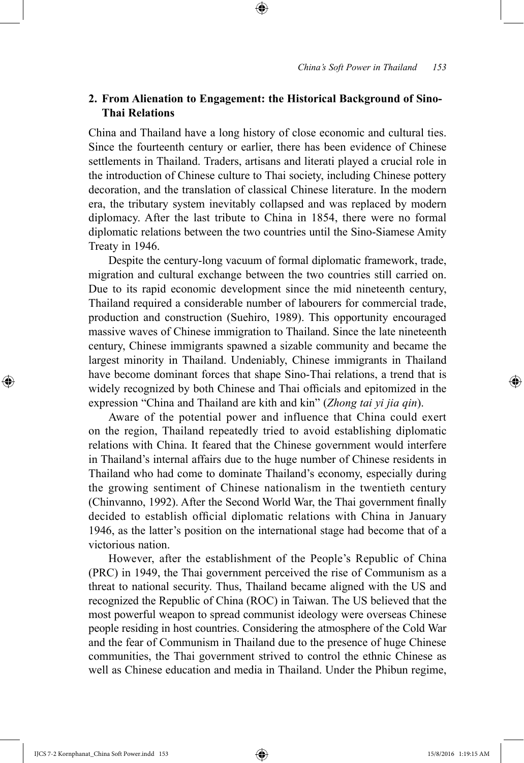# **2. From Alienation to Engagement: the Historical Background of Sino-Thai Relations**

⊕

China and Thailand have a long history of close economic and cultural ties. Since the fourteenth century or earlier, there has been evidence of Chinese settlements in Thailand. Traders, artisans and literati played a crucial role in the introduction of Chinese culture to Thai society, including Chinese pottery decoration, and the translation of classical Chinese literature. In the modern era, the tributary system inevitably collapsed and was replaced by modern diplomacy. After the last tribute to China in 1854, there were no formal diplomatic relations between the two countries until the Sino-Siamese Amity Treaty in 1946.

Despite the century-long vacuum of formal diplomatic framework, trade, migration and cultural exchange between the two countries still carried on. Due to its rapid economic development since the mid nineteenth century, Thailand required a considerable number of labourers for commercial trade, production and construction (Suehiro, 1989). This opportunity encouraged massive waves of Chinese immigration to Thailand. Since the late nineteenth century, Chinese immigrants spawned a sizable community and became the largest minority in Thailand. Undeniably, Chinese immigrants in Thailand have become dominant forces that shape Sino-Thai relations, a trend that is widely recognized by both Chinese and Thai officials and epitomized in the expression "China and Thailand are kith and kin" (*Zhong tai yi jia qin*).

Aware of the potential power and influence that China could exert on the region, Thailand repeatedly tried to avoid establishing diplomatic relations with China. It feared that the Chinese government would interfere in Thailand's internal affairs due to the huge number of Chinese residents in Thailand who had come to dominate Thailand's economy, especially during the growing sentiment of Chinese nationalism in the twentieth century (Chinvanno, 1992). After the Second World War, the Thai government finally decided to establish official diplomatic relations with China in January 1946, as the latter's position on the international stage had become that of a victorious nation.

However, after the establishment of the People's Republic of China (PRC) in 1949, the Thai government perceived the rise of Communism as a threat to national security. Thus, Thailand became aligned with the US and recognized the Republic of China (ROC) in Taiwan. The US believed that the most powerful weapon to spread communist ideology were overseas Chinese people residing in host countries. Considering the atmosphere of the Cold War and the fear of Communism in Thailand due to the presence of huge Chinese communities, the Thai government strived to control the ethnic Chinese as well as Chinese education and media in Thailand. Under the Phibun regime,

IJCS 7-2 Kornphanat\_China Soft Power.indd 153 15/8/2016 1:19:15 AM

⊕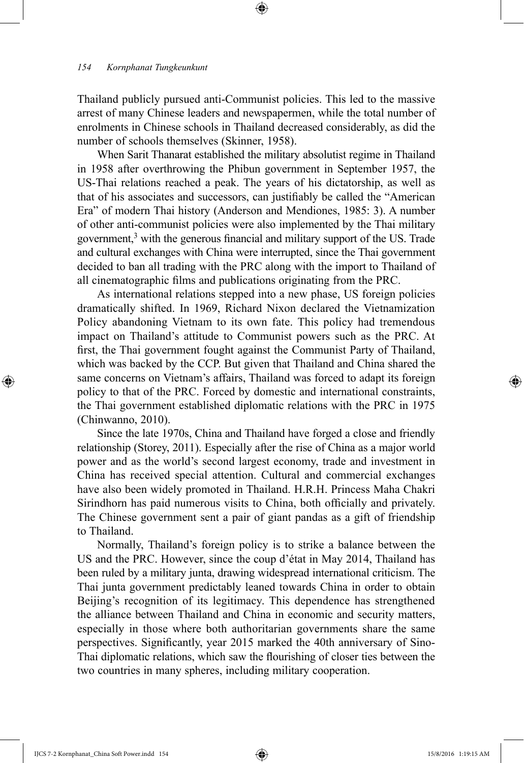Thailand publicly pursued anti-Communist policies. This led to the massive arrest of many Chinese leaders and newspapermen, while the total number of enrolments in Chinese schools in Thailand decreased considerably, as did the number of schools themselves (Skinner, 1958).

⊕

When Sarit Thanarat established the military absolutist regime in Thailand in 1958 after overthrowing the Phibun government in September 1957, the US-Thai relations reached a peak. The years of his dictatorship, as well as that of his associates and successors, can justifiably be called the "American Era" of modern Thai history (Anderson and Mendiones, 1985: 3). A number of other anti-communist policies were also implemented by the Thai military government,<sup>3</sup> with the generous financial and military support of the US. Trade and cultural exchanges with China were interrupted, since the Thai government decided to ban all trading with the PRC along with the import to Thailand of all cinematographic films and publications originating from the PRC.

As international relations stepped into a new phase, US foreign policies dramatically shifted. In 1969, Richard Nixon declared the Vietnamization Policy abandoning Vietnam to its own fate. This policy had tremendous impact on Thailand's attitude to Communist powers such as the PRC. At first, the Thai government fought against the Communist Party of Thailand, which was backed by the CCP. But given that Thailand and China shared the same concerns on Vietnam's affairs, Thailand was forced to adapt its foreign policy to that of the PRC. Forced by domestic and international constraints, the Thai government established diplomatic relations with the PRC in 1975 (Chinwanno, 2010).

Since the late 1970s, China and Thailand have forged a close and friendly relationship (Storey, 2011). Especially after the rise of China as a major world power and as the world's second largest economy, trade and investment in China has received special attention. Cultural and commercial exchanges have also been widely promoted in Thailand. H.R.H. Princess Maha Chakri Sirindhorn has paid numerous visits to China, both officially and privately. The Chinese government sent a pair of giant pandas as a gift of friendship to Thailand.

Normally, Thailand's foreign policy is to strike a balance between the US and the PRC. However, since the coup d'état in May 2014, Thailand has been ruled by a military junta, drawing widespread international criticism. The Thai junta government predictably leaned towards China in order to obtain Beijing's recognition of its legitimacy. This dependence has strengthened the alliance between Thailand and China in economic and security matters, especially in those where both authoritarian governments share the same perspectives. Significantly, year 2015 marked the 40th anniversary of Sino-Thai diplomatic relations, which saw the flourishing of closer ties between the two countries in many spheres, including military cooperation.

⊕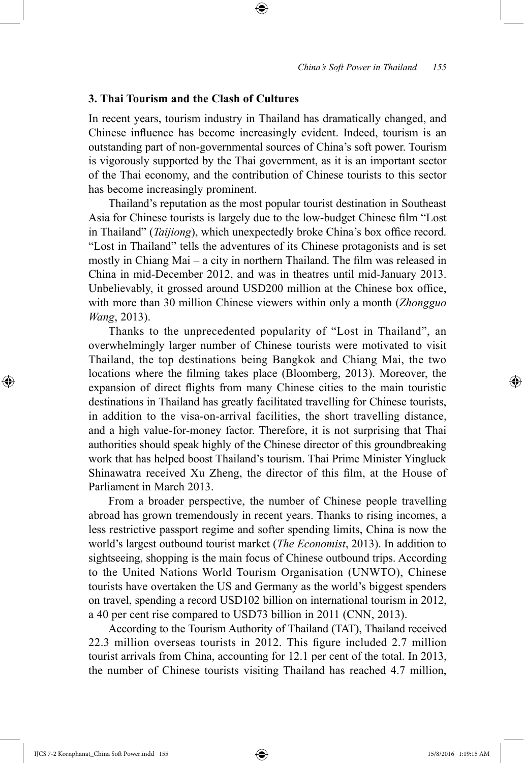## **3. Thai Tourism and the Clash of Cultures**

In recent years, tourism industry in Thailand has dramatically changed, and Chinese influence has become increasingly evident. Indeed, tourism is an outstanding part of non-governmental sources of China's soft power. Tourism is vigorously supported by the Thai government, as it is an important sector of the Thai economy, and the contribution of Chinese tourists to this sector has become increasingly prominent.

⊕

Thailand's reputation as the most popular tourist destination in Southeast Asia for Chinese tourists is largely due to the low-budget Chinese film "Lost in Thailand" (*Taijiong*), which unexpectedly broke China's box office record. "Lost in Thailand" tells the adventures of its Chinese protagonists and is set mostly in Chiang Mai – a city in northern Thailand. The film was released in China in mid-December 2012, and was in theatres until mid-January 2013. Unbelievably, it grossed around USD200 million at the Chinese box office, with more than 30 million Chinese viewers within only a month (*Zhongguo Wang*, 2013).

Thanks to the unprecedented popularity of "Lost in Thailand", an overwhelmingly larger number of Chinese tourists were motivated to visit Thailand, the top destinations being Bangkok and Chiang Mai, the two locations where the filming takes place (Bloomberg, 2013). Moreover, the expansion of direct flights from many Chinese cities to the main touristic destinations in Thailand has greatly facilitated travelling for Chinese tourists, in addition to the visa-on-arrival facilities, the short travelling distance, and a high value-for-money factor. Therefore, it is not surprising that Thai authorities should speak highly of the Chinese director of this groundbreaking work that has helped boost Thailand's tourism. Thai Prime Minister Yingluck Shinawatra received Xu Zheng, the director of this film, at the House of Parliament in March 2013.

From a broader perspective, the number of Chinese people travelling abroad has grown tremendously in recent years. Thanks to rising incomes, a less restrictive passport regime and softer spending limits, China is now the world's largest outbound tourist market (*The Economist*, 2013). In addition to sightseeing, shopping is the main focus of Chinese outbound trips. According to the United Nations World Tourism Organisation (UNWTO), Chinese tourists have overtaken the US and Germany as the world's biggest spenders on travel, spending a record USD102 billion on international tourism in 2012, a 40 per cent rise compared to USD73 billion in 2011 (CNN, 2013).

According to the Tourism Authority of Thailand (TAT), Thailand received 22.3 million overseas tourists in 2012. This figure included 2.7 million tourist arrivals from China, accounting for 12.1 per cent of the total. In 2013, the number of Chinese tourists visiting Thailand has reached 4.7 million,

IJCS 7-2 Kornphanat\_China Soft Power.indd 155 15/8/2016 1:19:15 AM

⊕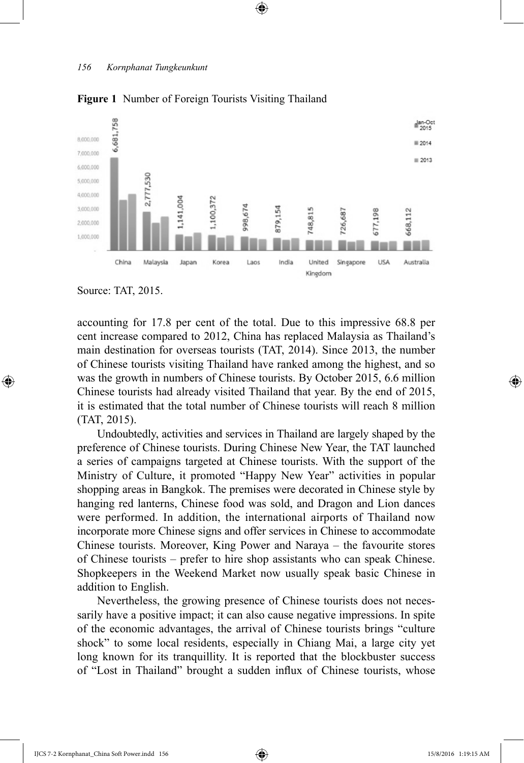

 $\textcircled{\scriptsize{+}}$ 

**Figure 1** Number of Foreign Tourists Visiting Thailand

⊕

accounting for 17.8 per cent of the total. Due to this impressive 68.8 per cent increase compared to 2012, China has replaced Malaysia as Thailand's main destination for overseas tourists (TAT, 2014). Since 2013, the number of Chinese tourists visiting Thailand have ranked among the highest, and so was the growth in numbers of Chinese tourists. By October 2015, 6.6 million Chinese tourists had already visited Thailand that year. By the end of 2015, it is estimated that the total number of Chinese tourists will reach 8 million (TAT, 2015).

Undoubtedly, activities and services in Thailand are largely shaped by the preference of Chinese tourists. During Chinese New Year, the TAT launched a series of campaigns targeted at Chinese tourists. With the support of the Ministry of Culture, it promoted "Happy New Year" activities in popular shopping areas in Bangkok. The premises were decorated in Chinese style by hanging red lanterns, Chinese food was sold, and Dragon and Lion dances were performed. In addition, the international airports of Thailand now incorporate more Chinese signs and offer services in Chinese to accommodate Chinese tourists. Moreover, King Power and Naraya – the favourite stores of Chinese tourists – prefer to hire shop assistants who can speak Chinese. Shopkeepers in the Weekend Market now usually speak basic Chinese in addition to English.

Nevertheless, the growing presence of Chinese tourists does not necessarily have a positive impact; it can also cause negative impressions. In spite of the economic advantages, the arrival of Chinese tourists brings "culture shock" to some local residents, especially in Chiang Mai, a large city yet long known for its tranquillity. It is reported that the blockbuster success of "Lost in Thailand" brought a sudden influx of Chinese tourists, whose

Source: TAT, 2015.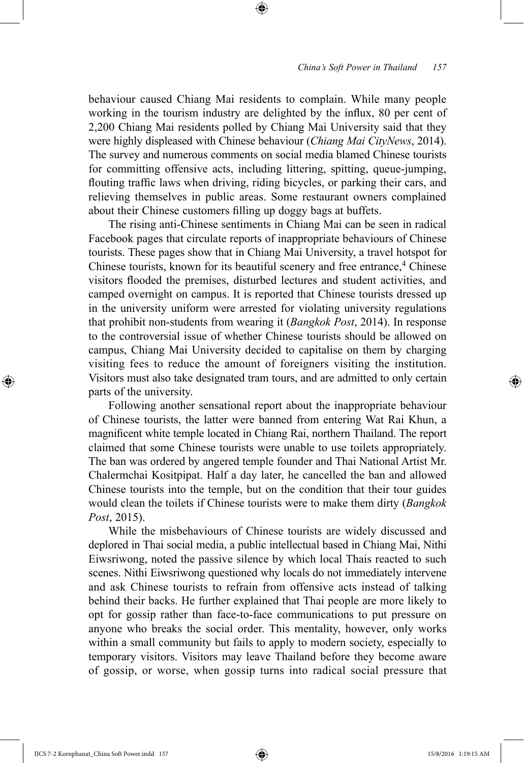behaviour caused Chiang Mai residents to complain. While many people working in the tourism industry are delighted by the influx, 80 per cent of 2,200 Chiang Mai residents polled by Chiang Mai University said that they were highly displeased with Chinese behaviour (*Chiang Mai CityNews*, 2014). The survey and numerous comments on social media blamed Chinese tourists for committing offensive acts, including littering, spitting, queue-jumping, flouting traffic laws when driving, riding bicycles, or parking their cars, and relieving themselves in public areas. Some restaurant owners complained about their Chinese customers filling up doggy bags at buffets.

⊕

The rising anti-Chinese sentiments in Chiang Mai can be seen in radical Facebook pages that circulate reports of inappropriate behaviours of Chinese tourists. These pages show that in Chiang Mai University, a travel hotspot for Chinese tourists, known for its beautiful scenery and free entrance,<sup>4</sup> Chinese visitors flooded the premises, disturbed lectures and student activities, and camped overnight on campus. It is reported that Chinese tourists dressed up in the university uniform were arrested for violating university regulations that prohibit non-students from wearing it (*Bangkok Post*, 2014). In response to the controversial issue of whether Chinese tourists should be allowed on campus, Chiang Mai University decided to capitalise on them by charging visiting fees to reduce the amount of foreigners visiting the institution. Visitors must also take designated tram tours, and are admitted to only certain parts of the university.

Following another sensational report about the inappropriate behaviour of Chinese tourists, the latter were banned from entering Wat Rai Khun, a magnificent white temple located in Chiang Rai, northern Thailand. The report claimed that some Chinese tourists were unable to use toilets appropriately. The ban was ordered by angered temple founder and Thai National Artist Mr. Chalermchai Kositpipat. Half a day later, he cancelled the ban and allowed Chinese tourists into the temple, but on the condition that their tour guides would clean the toilets if Chinese tourists were to make them dirty (*Bangkok Post*, 2015).

While the misbehaviours of Chinese tourists are widely discussed and deplored in Thai social media, a public intellectual based in Chiang Mai, Nithi Eiwsriwong, noted the passive silence by which local Thais reacted to such scenes. Nithi Eiwsriwong questioned why locals do not immediately intervene and ask Chinese tourists to refrain from offensive acts instead of talking behind their backs. He further explained that Thai people are more likely to opt for gossip rather than face-to-face communications to put pressure on anyone who breaks the social order. This mentality, however, only works within a small community but fails to apply to modern society, especially to temporary visitors. Visitors may leave Thailand before they become aware of gossip, or worse, when gossip turns into radical social pressure that

IJCS 7-2 Kornphanat\_China Soft Power.indd 157 15/8/2016 1:19:15 AM

⊕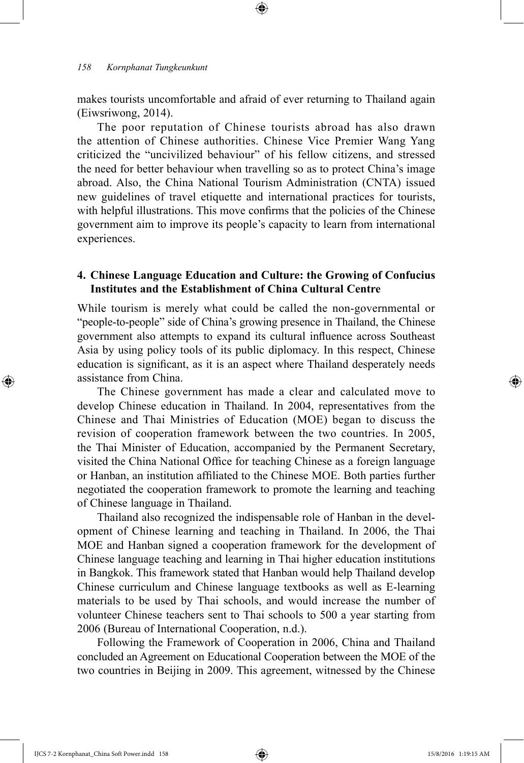makes tourists uncomfortable and afraid of ever returning to Thailand again (Eiwsriwong, 2014).

⊕

The poor reputation of Chinese tourists abroad has also drawn the attention of Chinese authorities. Chinese Vice Premier Wang Yang criticized the "uncivilized behaviour" of his fellow citizens, and stressed the need for better behaviour when travelling so as to protect China's image abroad. Also, the China National Tourism Administration (CNTA) issued new guidelines of travel etiquette and international practices for tourists, with helpful illustrations. This move confirms that the policies of the Chinese government aim to improve its people's capacity to learn from international experiences.

## **4. Chinese Language Education and Culture: the Growing of Confucius Institutes and the Establishment of China Cultural Centre**

While tourism is merely what could be called the non-governmental or "people-to-people" side of China's growing presence in Thailand, the Chinese government also attempts to expand its cultural influence across Southeast Asia by using policy tools of its public diplomacy. In this respect, Chinese education is significant, as it is an aspect where Thailand desperately needs assistance from China.

The Chinese government has made a clear and calculated move to develop Chinese education in Thailand. In 2004, representatives from the Chinese and Thai Ministries of Education (MOE) began to discuss the revision of cooperation framework between the two countries. In 2005, the Thai Minister of Education, accompanied by the Permanent Secretary, visited the China National Office for teaching Chinese as a foreign language or Hanban, an institution affiliated to the Chinese MOE. Both parties further negotiated the cooperation framework to promote the learning and teaching of Chinese language in Thailand.

Thailand also recognized the indispensable role of Hanban in the development of Chinese learning and teaching in Thailand. In 2006, the Thai MOE and Hanban signed a cooperation framework for the development of Chinese language teaching and learning in Thai higher education institutions in Bangkok. This framework stated that Hanban would help Thailand develop Chinese curriculum and Chinese language textbooks as well as E-learning materials to be used by Thai schools, and would increase the number of volunteer Chinese teachers sent to Thai schools to 500 a year starting from 2006 (Bureau of International Cooperation, n.d.).

Following the Framework of Cooperation in 2006, China and Thailand concluded an Agreement on Educational Cooperation between the MOE of the two countries in Beijing in 2009. This agreement, witnessed by the Chinese

IJCS 7-2 Kornphanat\_China Soft Power.indd 158 15/8/2016 1:19:15 AM

⊕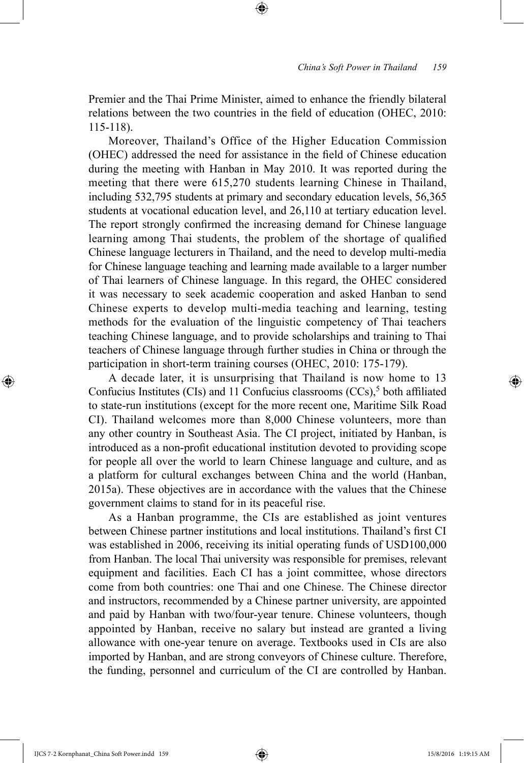Premier and the Thai Prime Minister, aimed to enhance the friendly bilateral relations between the two countries in the field of education (OHEC, 2010: 115-118).

⊕

Moreover, Thailand's Office of the Higher Education Commission (OHEC) addressed the need for assistance in the field of Chinese education during the meeting with Hanban in May 2010. It was reported during the meeting that there were 615,270 students learning Chinese in Thailand, including 532,795 students at primary and secondary education levels, 56,365 students at vocational education level, and 26,110 at tertiary education level. The report strongly confirmed the increasing demand for Chinese language learning among Thai students, the problem of the shortage of qualified Chinese language lecturers in Thailand, and the need to develop multi-media for Chinese language teaching and learning made available to a larger number of Thai learners of Chinese language. In this regard, the OHEC considered it was necessary to seek academic cooperation and asked Hanban to send Chinese experts to develop multi-media teaching and learning, testing methods for the evaluation of the linguistic competency of Thai teachers teaching Chinese language, and to provide scholarships and training to Thai teachers of Chinese language through further studies in China or through the participation in short-term training courses (OHEC, 2010: 175-179).

A decade later, it is unsurprising that Thailand is now home to 13 Confucius Institutes (CIs) and 11 Confucius classrooms (CCs), $5$  both affiliated to state-run institutions (except for the more recent one, Maritime Silk Road CI). Thailand welcomes more than 8,000 Chinese volunteers, more than any other country in Southeast Asia. The CI project, initiated by Hanban, is introduced as a non-profit educational institution devoted to providing scope for people all over the world to learn Chinese language and culture, and as a platform for cultural exchanges between China and the world (Hanban, 2015a). These objectives are in accordance with the values that the Chinese government claims to stand for in its peaceful rise.

As a Hanban programme, the CIs are established as joint ventures between Chinese partner institutions and local institutions. Thailand's first CI was established in 2006, receiving its initial operating funds of USD100,000 from Hanban. The local Thai university was responsible for premises, relevant equipment and facilities. Each CI has a joint committee, whose directors come from both countries: one Thai and one Chinese. The Chinese director and instructors, recommended by a Chinese partner university, are appointed and paid by Hanban with two/four-year tenure. Chinese volunteers, though appointed by Hanban, receive no salary but instead are granted a living allowance with one-year tenure on average. Textbooks used in CIs are also imported by Hanban, and are strong conveyors of Chinese culture. Therefore, the funding, personnel and curriculum of the CI are controlled by Hanban.

⊕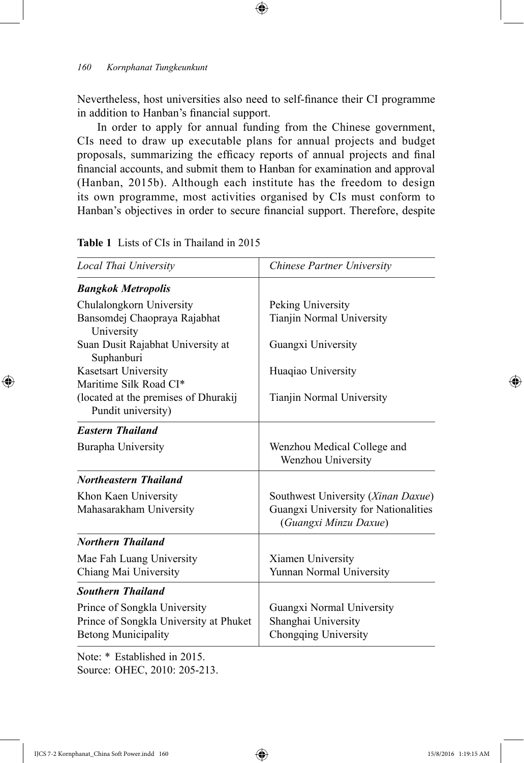Nevertheless, host universities also need to self-finance their CI programme in addition to Hanban's financial support.

 $\bigoplus$ 

In order to apply for annual funding from the Chinese government, CIs need to draw up executable plans for annual projects and budget proposals, summarizing the efficacy reports of annual projects and final financial accounts, and submit them to Hanban for examination and approval (Hanban, 2015b). Although each institute has the freedom to design its own programme, most activities organised by CIs must conform to Hanban's objectives in order to secure financial support. Therefore, despite

**Table 1** Lists of CIs in Thailand in 2015

| Local Thai University                           | Chinese Partner University                                    |
|-------------------------------------------------|---------------------------------------------------------------|
| <b>Bangkok Metropolis</b>                       |                                                               |
| Chulalongkorn University                        | Peking University                                             |
| Bansomdej Chaopraya Rajabhat<br>University      | Tianjin Normal University                                     |
| Suan Dusit Rajabhat University at<br>Suphanburi | Guangxi University                                            |
| Kasetsart University                            | Huaqiao University                                            |
| Maritime Silk Road CI*                          |                                                               |
| (located at the premises of Dhurakij            | Tianjin Normal University                                     |
| Pundit university)                              |                                                               |
| <b>Eastern Thailand</b>                         |                                                               |
| Burapha University                              | Wenzhou Medical College and<br>Wenzhou University             |
| <b>Northeastern Thailand</b>                    |                                                               |
| Khon Kaen University                            | Southwest University (Xinan Daxue)                            |
| Mahasarakham University                         | Guangxi University for Nationalities<br>(Guangxi Minzu Daxue) |
| <b>Northern Thailand</b>                        |                                                               |
| Mae Fah Luang University                        | Xiamen University                                             |
| Chiang Mai University                           | Yunnan Normal University                                      |
| <b>Southern Thailand</b>                        |                                                               |
| Prince of Songkla University                    | Guangxi Normal University                                     |
| Prince of Songkla University at Phuket          | Shanghai University                                           |
| <b>Betong Municipality</b>                      | Chongqing University                                          |

Note: \* Established in 2015. Source: OHEC, 2010: 205-213.

IJCS 7-2 Kornphanat\_China Soft Power.indd 160 15/8/2016 1:19:15 AM

⊕

↔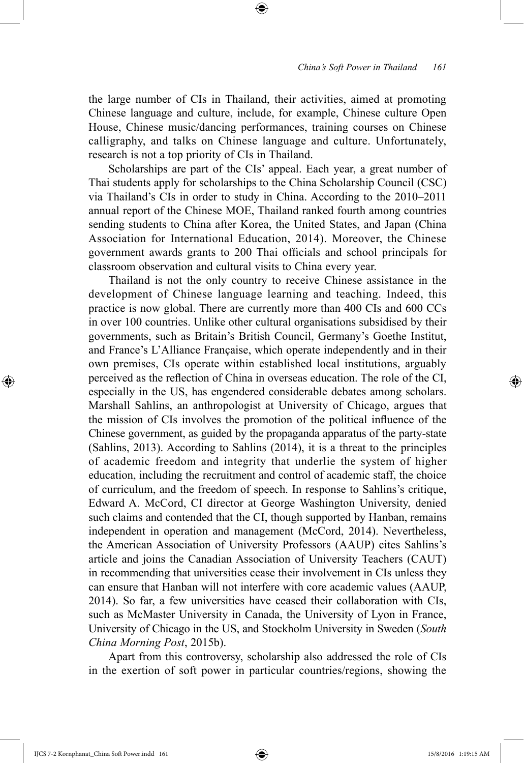the large number of CIs in Thailand, their activities, aimed at promoting Chinese language and culture, include, for example, Chinese culture Open House, Chinese music/dancing performances, training courses on Chinese calligraphy, and talks on Chinese language and culture. Unfortunately, research is not a top priority of CIs in Thailand.

⊕

Scholarships are part of the CIs' appeal. Each year, a great number of Thai students apply for scholarships to the China Scholarship Council (CSC) via Thailand's CIs in order to study in China. According to the 2010–2011 annual report of the Chinese MOE, Thailand ranked fourth among countries sending students to China after Korea, the United States, and Japan (China Association for International Education, 2014). Moreover, the Chinese government awards grants to 200 Thai officials and school principals for classroom observation and cultural visits to China every year.

Thailand is not the only country to receive Chinese assistance in the development of Chinese language learning and teaching. Indeed, this practice is now global. There are currently more than 400 CIs and 600 CCs in over 100 countries. Unlike other cultural organisations subsidised by their governments, such as Britain's British Council, Germany's Goethe Institut, and France's L'Alliance Française, which operate independently and in their own premises, CIs operate within established local institutions, arguably perceived as the reflection of China in overseas education. The role of the CI, especially in the US, has engendered considerable debates among scholars. Marshall Sahlins, an anthropologist at University of Chicago, argues that the mission of CIs involves the promotion of the political influence of the Chinese government, as guided by the propaganda apparatus of the party-state (Sahlins, 2013). According to Sahlins (2014), it is a threat to the principles of academic freedom and integrity that underlie the system of higher education, including the recruitment and control of academic staff, the choice of curriculum, and the freedom of speech. In response to Sahlins's critique, Edward A. McCord, CI director at George Washington University, denied such claims and contended that the CI, though supported by Hanban, remains independent in operation and management (McCord, 2014). Nevertheless, the American Association of University Professors (AAUP) cites Sahlins's article and joins the Canadian Association of University Teachers (CAUT) in recommending that universities cease their involvement in CIs unless they can ensure that Hanban will not interfere with core academic values (AAUP, 2014). So far, a few universities have ceased their collaboration with CIs, such as McMaster University in Canada, the University of Lyon in France, University of Chicago in the US, and Stockholm University in Sweden (*South China Morning Post*, 2015b).

Apart from this controversy, scholarship also addressed the role of CIs in the exertion of soft power in particular countries/regions, showing the

IJCS 7-2 Kornphanat\_China Soft Power.indd 161 15/8/2016 1:19:15 AM

⊕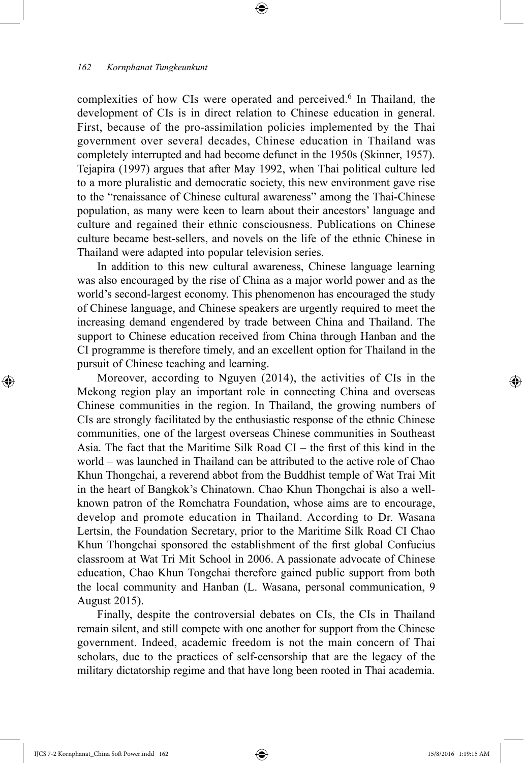complexities of how CIs were operated and perceived.<sup>6</sup> In Thailand, the development of CIs is in direct relation to Chinese education in general. First, because of the pro-assimilation policies implemented by the Thai government over several decades, Chinese education in Thailand was completely interrupted and had become defunct in the 1950s (Skinner, 1957). Tejapira (1997) argues that after May 1992, when Thai political culture led to a more pluralistic and democratic society, this new environment gave rise to the "renaissance of Chinese cultural awareness" among the Thai-Chinese population, as many were keen to learn about their ancestors' language and culture and regained their ethnic consciousness. Publications on Chinese culture became best-sellers, and novels on the life of the ethnic Chinese in Thailand were adapted into popular television series.

⊕

In addition to this new cultural awareness, Chinese language learning was also encouraged by the rise of China as a major world power and as the world's second-largest economy. This phenomenon has encouraged the study of Chinese language, and Chinese speakers are urgently required to meet the increasing demand engendered by trade between China and Thailand. The support to Chinese education received from China through Hanban and the CI programme is therefore timely, and an excellent option for Thailand in the pursuit of Chinese teaching and learning.

Moreover, according to Nguyen (2014), the activities of CIs in the Mekong region play an important role in connecting China and overseas Chinese communities in the region. In Thailand, the growing numbers of CIs are strongly facilitated by the enthusiastic response of the ethnic Chinese communities, one of the largest overseas Chinese communities in Southeast Asia. The fact that the Maritime Silk Road  $CI -$  the first of this kind in the world – was launched in Thailand can be attributed to the active role of Chao Khun Thongchai, a reverend abbot from the Buddhist temple of Wat Trai Mit in the heart of Bangkok's Chinatown. Chao Khun Thongchai is also a wellknown patron of the Romchatra Foundation, whose aims are to encourage, develop and promote education in Thailand. According to Dr. Wasana Lertsin, the Foundation Secretary, prior to the Maritime Silk Road CI Chao Khun Thongchai sponsored the establishment of the first global Confucius classroom at Wat Tri Mit School in 2006. A passionate advocate of Chinese education, Chao Khun Tongchai therefore gained public support from both the local community and Hanban (L. Wasana, personal communication, 9 August 2015).

Finally, despite the controversial debates on CIs, the CIs in Thailand remain silent, and still compete with one another for support from the Chinese government. Indeed, academic freedom is not the main concern of Thai scholars, due to the practices of self-censorship that are the legacy of the military dictatorship regime and that have long been rooted in Thai academia.

⊕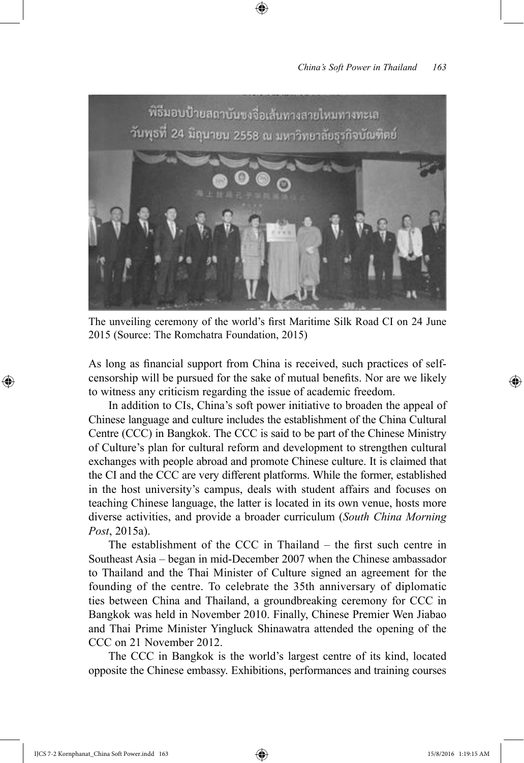

⊕

The unveiling ceremony of the world's first Maritime Silk Road CI on 24 June 2015 (Source: The Romchatra Foundation, 2015)

As long as financial support from China is received, such practices of selfcensorship will be pursued for the sake of mutual benefits. Nor are we likely to witness any criticism regarding the issue of academic freedom.

In addition to CIs, China's soft power initiative to broaden the appeal of Chinese language and culture includes the establishment of the China Cultural Centre (CCC) in Bangkok. The CCC is said to be part of the Chinese Ministry of Culture's plan for cultural reform and development to strengthen cultural exchanges with people abroad and promote Chinese culture. It is claimed that the CI and the CCC are very different platforms. While the former, established in the host university's campus, deals with student affairs and focuses on teaching Chinese language, the latter is located in its own venue, hosts more diverse activities, and provide a broader curriculum (*South China Morning Post*, 2015a).

The establishment of the CCC in Thailand – the first such centre in Southeast Asia – began in mid-December 2007 when the Chinese ambassador to Thailand and the Thai Minister of Culture signed an agreement for the founding of the centre. To celebrate the 35th anniversary of diplomatic ties between China and Thailand, a groundbreaking ceremony for CCC in Bangkok was held in November 2010. Finally, Chinese Premier Wen Jiabao and Thai Prime Minister Yingluck Shinawatra attended the opening of the CCC on 21 November 2012.

The CCC in Bangkok is the world's largest centre of its kind, located opposite the Chinese embassy. Exhibitions, performances and training courses

IJCS 7-2 Kornphanat\_China Soft Power.indd 163 15/8/2016 1:19:15 AM

⊕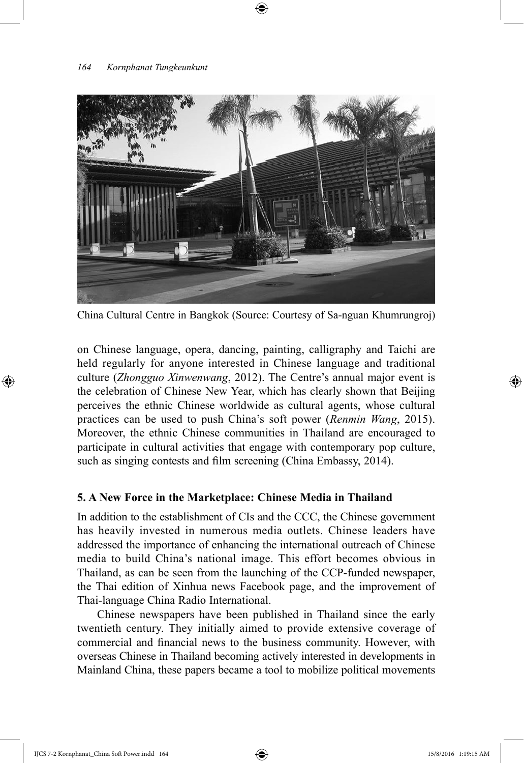

China Cultural Centre in Bangkok (Source: Courtesy of Sa-nguan Khumrungroj)

on Chinese language, opera, dancing, painting, calligraphy and Taichi are held regularly for anyone interested in Chinese language and traditional culture (*Zhongguo Xinwenwang*, 2012). The Centre's annual major event is the celebration of Chinese New Year, which has clearly shown that Beijing perceives the ethnic Chinese worldwide as cultural agents, whose cultural practices can be used to push China's soft power (*Renmin Wang*, 2015). Moreover, the ethnic Chinese communities in Thailand are encouraged to participate in cultural activities that engage with contemporary pop culture, such as singing contests and film screening (China Embassy, 2014).

## **5. A New Force in the Marketplace: Chinese Media in Thailand**

In addition to the establishment of CIs and the CCC, the Chinese government has heavily invested in numerous media outlets. Chinese leaders have addressed the importance of enhancing the international outreach of Chinese media to build China's national image. This effort becomes obvious in Thailand, as can be seen from the launching of the CCP-funded newspaper, the Thai edition of Xinhua news Facebook page, and the improvement of Thai-language China Radio International.

Chinese newspapers have been published in Thailand since the early twentieth century. They initially aimed to provide extensive coverage of commercial and financial news to the business community. However, with overseas Chinese in Thailand becoming actively interested in developments in Mainland China, these papers became a tool to mobilize political movements

⊕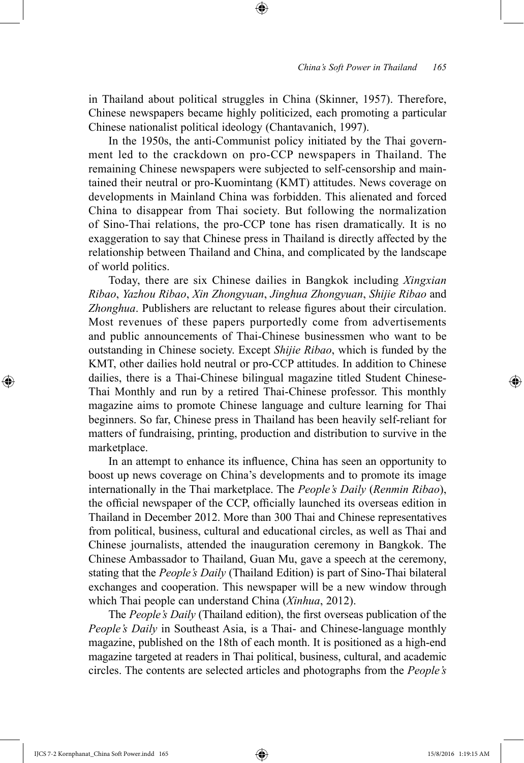in Thailand about political struggles in China (Skinner, 1957). Therefore, Chinese newspapers became highly politicized, each promoting a particular Chinese nationalist political ideology (Chantavanich, 1997).

⊕

In the 1950s, the anti-Communist policy initiated by the Thai government led to the crackdown on pro-CCP newspapers in Thailand. The remaining Chinese newspapers were subjected to self-censorship and maintained their neutral or pro-Kuomintang (KMT) attitudes. News coverage on developments in Mainland China was forbidden. This alienated and forced China to disappear from Thai society. But following the normalization of Sino-Thai relations, the pro-CCP tone has risen dramatically. It is no exaggeration to say that Chinese press in Thailand is directly affected by the relationship between Thailand and China, and complicated by the landscape of world politics.

Today, there are six Chinese dailies in Bangkok including *Xingxian Ribao*, *Yazhou Ribao*, *Xin Zhongyuan*, *Jinghua Zhongyuan*, *Shijie Ribao* and *Zhonghua*. Publishers are reluctant to release figures about their circulation. Most revenues of these papers purportedly come from advertisements and public announcements of Thai-Chinese businessmen who want to be outstanding in Chinese society. Except *Shijie Ribao*, which is funded by the KMT, other dailies hold neutral or pro-CCP attitudes. In addition to Chinese dailies, there is a Thai-Chinese bilingual magazine titled Student Chinese-Thai Monthly and run by a retired Thai-Chinese professor. This monthly magazine aims to promote Chinese language and culture learning for Thai beginners. So far, Chinese press in Thailand has been heavily self-reliant for matters of fundraising, printing, production and distribution to survive in the marketplace.

In an attempt to enhance its influence, China has seen an opportunity to boost up news coverage on China's developments and to promote its image internationally in the Thai marketplace. The *People's Daily* (*Renmin Ribao*), the official newspaper of the CCP, officially launched its overseas edition in Thailand in December 2012. More than 300 Thai and Chinese representatives from political, business, cultural and educational circles, as well as Thai and Chinese journalists, attended the inauguration ceremony in Bangkok. The Chinese Ambassador to Thailand, Guan Mu, gave a speech at the ceremony, stating that the *People's Daily* (Thailand Edition) is part of Sino-Thai bilateral exchanges and cooperation. This newspaper will be a new window through which Thai people can understand China (*Xinhua*, 2012).

The *People's Daily* (Thailand edition), the first overseas publication of the *People's Daily* in Southeast Asia, is a Thai- and Chinese-language monthly magazine, published on the 18th of each month. It is positioned as a high-end magazine targeted at readers in Thai political, business, cultural, and academic circles. The contents are selected articles and photographs from the *People's* 

IJCS 7-2 Kornphanat\_China Soft Power.indd 165 15/8/2016 1:19:15 AM

⊕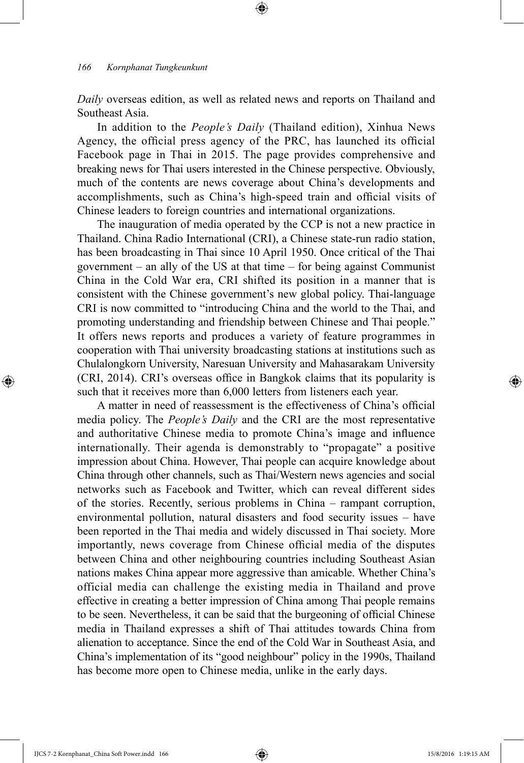*Daily* overseas edition, as well as related news and reports on Thailand and Southeast Asia.

⊕

In addition to the *People's Daily* (Thailand edition), Xinhua News Agency, the official press agency of the PRC, has launched its official Facebook page in Thai in 2015. The page provides comprehensive and breaking news for Thai users interested in the Chinese perspective. Obviously, much of the contents are news coverage about China's developments and accomplishments, such as China's high-speed train and official visits of Chinese leaders to foreign countries and international organizations.

The inauguration of media operated by the CCP is not a new practice in Thailand. China Radio International (CRI), a Chinese state-run radio station, has been broadcasting in Thai since 10 April 1950. Once critical of the Thai government – an ally of the US at that time – for being against Communist China in the Cold War era, CRI shifted its position in a manner that is consistent with the Chinese government's new global policy. Thai-language CRI is now committed to "introducing China and the world to the Thai, and promoting understanding and friendship between Chinese and Thai people." It offers news reports and produces a variety of feature programmes in cooperation with Thai university broadcasting stations at institutions such as Chulalongkorn University, Naresuan University and Mahasarakam University (CRI, 2014). CRI's overseas office in Bangkok claims that its popularity is such that it receives more than 6,000 letters from listeners each year.

A matter in need of reassessment is the effectiveness of China's official media policy. The *People's Daily* and the CRI are the most representative and authoritative Chinese media to promote China's image and influence internationally. Their agenda is demonstrably to "propagate" a positive impression about China. However, Thai people can acquire knowledge about China through other channels, such as Thai/Western news agencies and social networks such as Facebook and Twitter, which can reveal different sides of the stories. Recently, serious problems in China – rampant corruption, environmental pollution, natural disasters and food security issues – have been reported in the Thai media and widely discussed in Thai society. More importantly, news coverage from Chinese official media of the disputes between China and other neighbouring countries including Southeast Asian nations makes China appear more aggressive than amicable. Whether China's official media can challenge the existing media in Thailand and prove effective in creating a better impression of China among Thai people remains to be seen. Nevertheless, it can be said that the burgeoning of official Chinese media in Thailand expresses a shift of Thai attitudes towards China from alienation to acceptance. Since the end of the Cold War in Southeast Asia, and China's implementation of its "good neighbour" policy in the 1990s, Thailand has become more open to Chinese media, unlike in the early days.

IJCS 7-2 Kornphanat\_China Soft Power.indd 166 15/8/2016 1:19:15 AM

⊕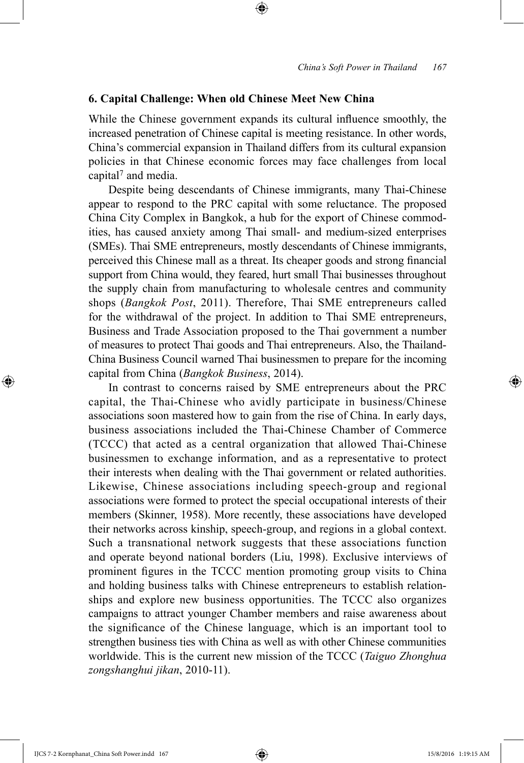## **6. Capital Challenge: When old Chinese Meet New China**

While the Chinese government expands its cultural influence smoothly, the increased penetration of Chinese capital is meeting resistance. In other words, China's commercial expansion in Thailand differs from its cultural expansion policies in that Chinese economic forces may face challenges from local capital<sup>7</sup> and media.

⊕

Despite being descendants of Chinese immigrants, many Thai-Chinese appear to respond to the PRC capital with some reluctance. The proposed China City Complex in Bangkok, a hub for the export of Chinese commodities, has caused anxiety among Thai small- and medium-sized enterprises (SMEs). Thai SME entrepreneurs, mostly descendants of Chinese immigrants, perceived this Chinese mall as a threat. Its cheaper goods and strong financial support from China would, they feared, hurt small Thai businesses throughout the supply chain from manufacturing to wholesale centres and community shops (*Bangkok Post*, 2011). Therefore, Thai SME entrepreneurs called for the withdrawal of the project. In addition to Thai SME entrepreneurs, Business and Trade Association proposed to the Thai government a number of measures to protect Thai goods and Thai entrepreneurs. Also, the Thailand-China Business Council warned Thai businessmen to prepare for the incoming capital from China (*Bangkok Business*, 2014).

In contrast to concerns raised by SME entrepreneurs about the PRC capital, the Thai-Chinese who avidly participate in business/Chinese associations soon mastered how to gain from the rise of China. In early days, business associations included the Thai-Chinese Chamber of Commerce (TCCC) that acted as a central organization that allowed Thai-Chinese businessmen to exchange information, and as a representative to protect their interests when dealing with the Thai government or related authorities. Likewise, Chinese associations including speech-group and regional associations were formed to protect the special occupational interests of their members (Skinner, 1958). More recently, these associations have developed their networks across kinship, speech-group, and regions in a global context. Such a transnational network suggests that these associations function and operate beyond national borders (Liu, 1998). Exclusive interviews of prominent figures in the TCCC mention promoting group visits to China and holding business talks with Chinese entrepreneurs to establish relationships and explore new business opportunities. The TCCC also organizes campaigns to attract younger Chamber members and raise awareness about the significance of the Chinese language, which is an important tool to strengthen business ties with China as well as with other Chinese communities worldwide. This is the current new mission of the TCCC (*Taiguo Zhonghua zongshanghui jikan*, 2010-11).

⊕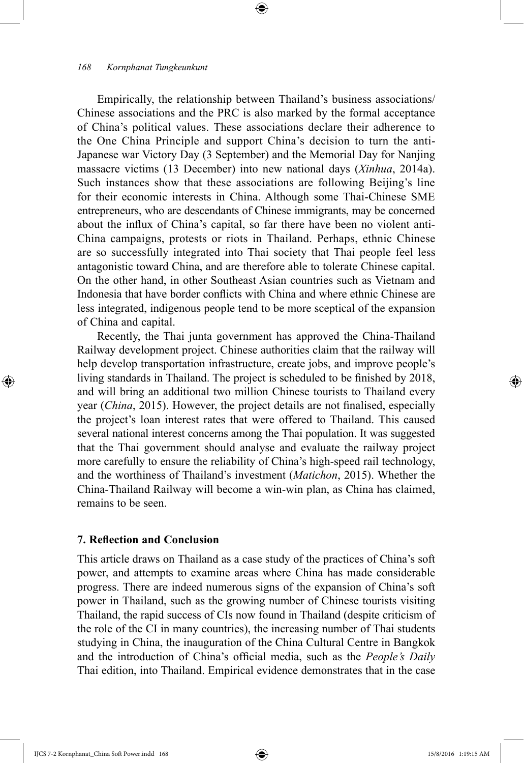Empirically, the relationship between Thailand's business associations/ Chinese associations and the PRC is also marked by the formal acceptance of China's political values. These associations declare their adherence to the One China Principle and support China's decision to turn the anti-Japanese war Victory Day (3 September) and the Memorial Day for Nanjing massacre victims (13 December) into new national days (*Xinhua*, 2014a). Such instances show that these associations are following Beijing's line for their economic interests in China. Although some Thai-Chinese SME entrepreneurs, who are descendants of Chinese immigrants, may be concerned about the influx of China's capital, so far there have been no violent anti-China campaigns, protests or riots in Thailand. Perhaps, ethnic Chinese are so successfully integrated into Thai society that Thai people feel less antagonistic toward China, and are therefore able to tolerate Chinese capital. On the other hand, in other Southeast Asian countries such as Vietnam and Indonesia that have border conflicts with China and where ethnic Chinese are less integrated, indigenous people tend to be more sceptical of the expansion of China and capital.

⊕

Recently, the Thai junta government has approved the China-Thailand Railway development project. Chinese authorities claim that the railway will help develop transportation infrastructure, create jobs, and improve people's living standards in Thailand. The project is scheduled to be finished by 2018, and will bring an additional two million Chinese tourists to Thailand every year (*China*, 2015). However, the project details are not finalised, especially the project's loan interest rates that were offered to Thailand. This caused several national interest concerns among the Thai population. It was suggested that the Thai government should analyse and evaluate the railway project more carefully to ensure the reliability of China's high-speed rail technology, and the worthiness of Thailand's investment (*Matichon*, 2015). Whether the China-Thailand Railway will become a win-win plan, as China has claimed, remains to be seen.

## **7. Reflection and Conclusion**

This article draws on Thailand as a case study of the practices of China's soft power, and attempts to examine areas where China has made considerable progress. There are indeed numerous signs of the expansion of China's soft power in Thailand, such as the growing number of Chinese tourists visiting Thailand, the rapid success of CIs now found in Thailand (despite criticism of the role of the CI in many countries), the increasing number of Thai students studying in China, the inauguration of the China Cultural Centre in Bangkok and the introduction of China's official media, such as the *People's Daily*  Thai edition, into Thailand. Empirical evidence demonstrates that in the case

⊕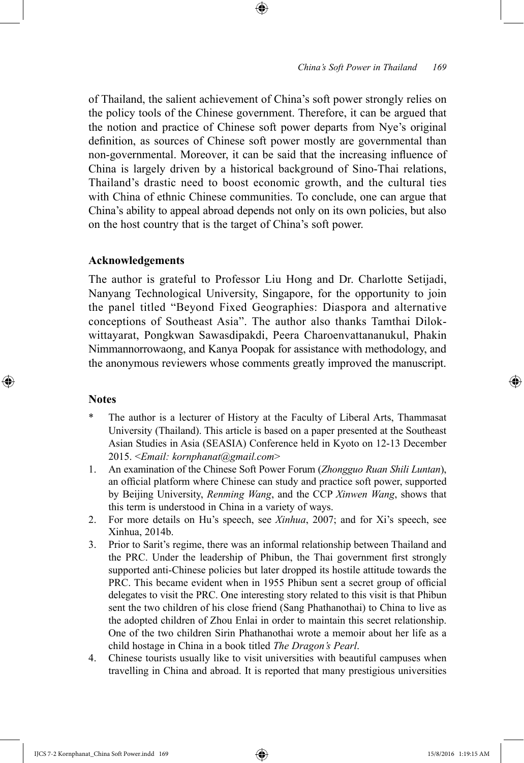of Thailand, the salient achievement of China's soft power strongly relies on the policy tools of the Chinese government. Therefore, it can be argued that the notion and practice of Chinese soft power departs from Nye's original definition, as sources of Chinese soft power mostly are governmental than non-governmental. Moreover, it can be said that the increasing influence of China is largely driven by a historical background of Sino-Thai relations, Thailand's drastic need to boost economic growth, and the cultural ties with China of ethnic Chinese communities. To conclude, one can argue that China's ability to appeal abroad depends not only on its own policies, but also on the host country that is the target of China's soft power.

⊕

## **Acknowledgements**

The author is grateful to Professor Liu Hong and Dr. Charlotte Setijadi, Nanyang Technological University, Singapore, for the opportunity to join the panel titled "Beyond Fixed Geographies: Diaspora and alternative conceptions of Southeast Asia". The author also thanks Tamthai Dilokwittayarat, Pongkwan Sawasdipakdi, Peera Charoenvattananukul, Phakin Nimmannorrowaong, and Kanya Poopak for assistance with methodology, and the anonymous reviewers whose comments greatly improved the manuscript.

## **Notes**

⊕

- The author is a lecturer of History at the Faculty of Liberal Arts, Thammasat University (Thailand). This article is based on a paper presented at the Southeast Asian Studies in Asia (SEASIA) Conference held in Kyoto on 12-13 December 2015. <*Email: kornphanat@gmail.com*>
- 1. An examination of the Chinese Soft Power Forum (*Zhongguo Ruan Shili Luntan*), an official platform where Chinese can study and practice soft power, supported by Beijing University, *Renming Wang*, and the CCP *Xinwen Wang*, shows that this term is understood in China in a variety of ways.
- 2. For more details on Hu's speech, see *Xinhua*, 2007; and for Xi's speech, see Xinhua, 2014b.
- 3. Prior to Sarit's regime, there was an informal relationship between Thailand and the PRC. Under the leadership of Phibun, the Thai government first strongly supported anti-Chinese policies but later dropped its hostile attitude towards the PRC. This became evident when in 1955 Phibun sent a secret group of official delegates to visit the PRC. One interesting story related to this visit is that Phibun sent the two children of his close friend (Sang Phathanothai) to China to live as the adopted children of Zhou Enlai in order to maintain this secret relationship. One of the two children Sirin Phathanothai wrote a memoir about her life as a child hostage in China in a book titled *The Dragon's Pearl*.
- 4. Chinese tourists usually like to visit universities with beautiful campuses when travelling in China and abroad. It is reported that many prestigious universities

IJCS 7-2 Kornphanat\_China Soft Power.indd 169 15/8/2016 1:19:15 AM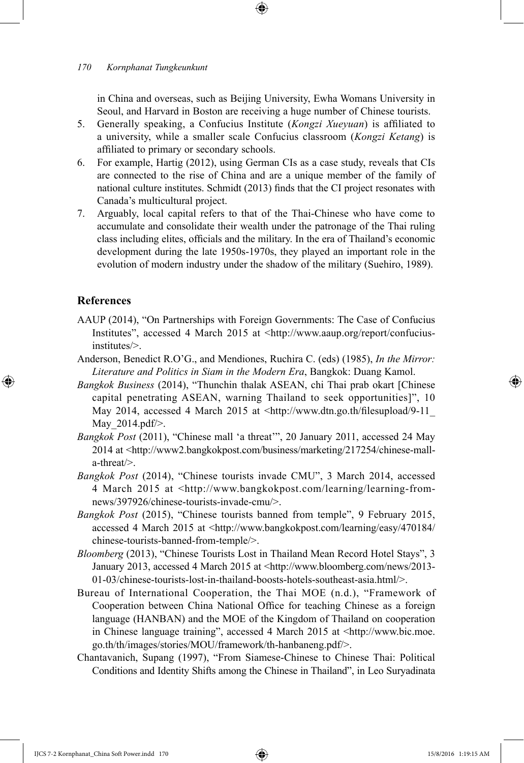in China and overseas, such as Beijing University, Ewha Womans University in Seoul, and Harvard in Boston are receiving a huge number of Chinese tourists.

- 5. Generally speaking, a Confucius Institute (*Kongzi Xueyuan*) is affiliated to a university, while a smaller scale Confucius classroom (*Kongzi Ketang*) is affiliated to primary or secondary schools.
- 6. For example, Hartig (2012), using German CIs as a case study, reveals that CIs are connected to the rise of China and are a unique member of the family of national culture institutes. Schmidt (2013) finds that the CI project resonates with Canada's multicultural project.
- 7. Arguably, local capital refers to that of the Thai-Chinese who have come to accumulate and consolidate their wealth under the patronage of the Thai ruling class including elites, officials and the military. In the era of Thailand's economic development during the late 1950s-1970s, they played an important role in the evolution of modern industry under the shadow of the military (Suehiro, 1989).

#### **References**

 $\bigoplus$ 

- AAUP (2014), "On Partnerships with Foreign Governments: The Case of Confucius Institutes", accessed 4 March 2015 at <http://www.aaup.org/report/confuciusinstitutes/>.
- Anderson, Benedict R.O'G., and Mendiones, Ruchira C. (eds) (1985), *In the Mirror: Literature and Politics in Siam in the Modern Era*, Bangkok: Duang Kamol.
- *Bangkok Business* (2014), "Thunchin thalak ASEAN, chi Thai prab okart [Chinese capital penetrating ASEAN, warning Thailand to seek opportunities]", 10 May 2014, accessed 4 March 2015 at <http://www.dtn.go.th/filesupload/9-11 May 2014.pdf/>.
- *Bangkok Post* (2011), "Chinese mall 'a threat'", 20 January 2011, accessed 24 May 2014 at <http://www2.bangkokpost.com/business/marketing/217254/chinese-malla-threat/>.
- *Bangkok Post* (2014), "Chinese tourists invade CMU", 3 March 2014, accessed 4 March 2015 at <http://www.bangkokpost.com/learning/learning-fromnews/397926/chinese-tourists-invade-cmu/>.
- *Bangkok Post* (2015), "Chinese tourists banned from temple", 9 February 2015, accessed 4 March 2015 at <http://www.bangkokpost.com/learning/easy/470184/ chinese-tourists-banned-from-temple/>.
- *Bloomberg* (2013), "Chinese Tourists Lost in Thailand Mean Record Hotel Stays", 3 January 2013, accessed 4 March 2015 at <http://www.bloomberg.com/news/2013- 01-03/chinese-tourists-lost-in-thailand-boosts-hotels-southeast-asia.html/>.
- Bureau of International Cooperation, the Thai MOE (n.d.), "Framework of Cooperation between China National Office for teaching Chinese as a foreign language (HANBAN) and the MOE of the Kingdom of Thailand on cooperation in Chinese language training", accessed 4 March 2015 at <http://www.bic.moe. go.th/th/images/stories/MOU/framework/th-hanbaneng.pdf/>.
- Chantavanich, Supang (1997), "From Siamese-Chinese to Chinese Thai: Political Conditions and Identity Shifts among the Chinese in Thailand", in Leo Suryadinata

IJCS 7-2 Kornphanat\_China Soft Power.indd 170 15/8/2016 1:19:15 AM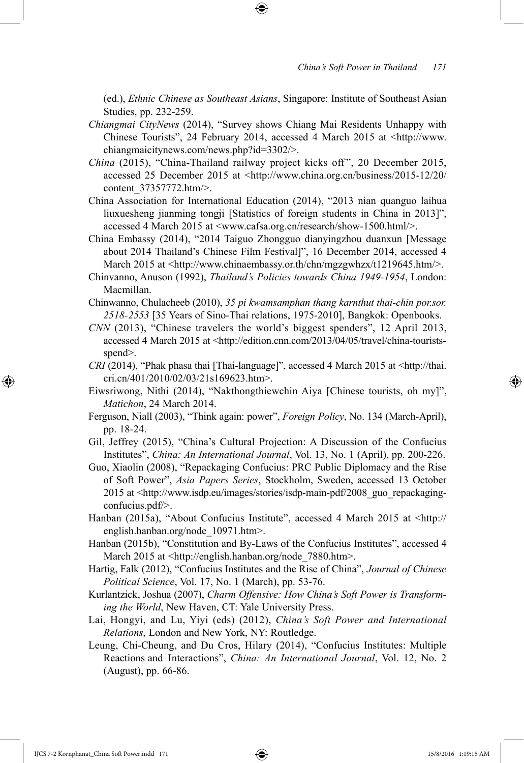(ed.), *Ethnic Chinese as Southeast Asians*, Singapore: Institute of Southeast Asian Studies, pp. 232-259.

- *Chiangmai CityNews* (2014), "Survey shows Chiang Mai Residents Unhappy with Chinese Tourists", 24 February 2014, accessed 4 March 2015 at <http://www. chiangmaicitynews.com/news.php?id=3302/>.
- *China* (2015), "China-Thailand railway project kicks off", 20 December 2015, accessed 25 December 2015 at <http://www.china.org.cn/business/2015-12/20/ content 37357772.htm/>.
- China Association for International Education (2014), "2013 nian quanguo laihua liuxuesheng jianming tongji [Statistics of foreign students in China in 2013]", accessed 4 March 2015 at <www.cafsa.org.cn/research/show-1500.html/>.
- China Embassy (2014), "2014 Taiguo Zhongguo dianyingzhou duanxun [Message about 2014 Thailand's Chinese Film Festival]", 16 December 2014, accessed 4 March 2015 at <http://www.chinaembassy.or.th/chn/mgzgwhzx/t1219645.htm/>.
- Chinvanno, Anuson (1992), *Thailand's Policies towards China 1949-1954*, London: Macmillan.
- Chinwanno, Chulacheeb (2010), *35 pi kwamsamphan thang karnthut thai-chin por.sor. 2518-2553* [35 Years of Sino-Thai relations, 1975-2010], Bangkok: Openbooks.
- *CNN* (2013), "Chinese travelers the world's biggest spenders", 12 April 2013, accessed 4 March 2015 at <http://edition.cnn.com/2013/04/05/travel/china-touristsspend>.
- *CRI* (2014), "Phak phasa thai [Thai-language]", accessed 4 March 2015 at <http://thai. cri.cn/401/2010/02/03/21s169623.htm>.
- Eiwsriwong, Nithi (2014), "Nakthongthiewchin Aiya [Chinese tourists, oh my]", *Matichon*, 24 March 2014.
- Ferguson, Niall (2003), "Think again: power", *Foreign Policy*, No. 134 (March-April), pp. 18-24.
- Gil, Jeffrey (2015), "China's Cultural Projection: A Discussion of the Confucius Institutes", *China: An International Journal*, Vol. 13, No. 1 (April), pp. 200-226.
- Guo, Xiaolin (2008), "Repackaging Confucius: PRC Public Diplomacy and the Rise of Soft Power", *Asia Papers Series*, Stockholm, Sweden, accessed 13 October 2015 at <http://www.isdp.eu/images/stories/isdp-main-pdf/2008\_guo\_repackagingconfucius.pdf/>.
- Hanban (2015a), "About Confucius Institute", accessed 4 March 2015 at <http:// english.hanban.org/node\_10971.htm>.
- Hanban (2015b), "Constitution and By-Laws of the Confucius Institutes", accessed 4 March 2015 at <http://english.hanban.org/node\_7880.htm>.
- Hartig, Falk (2012), "Confucius Institutes and the Rise of China", *Journal of Chinese Political Science*, Vol. 17, No. 1 (March), pp. 53-76.
- Kurlantzick, Joshua (2007), *Charm Offensive: How China's Soft Power is Transforming the World*, New Haven, CT: Yale University Press.
- Lai, Hongyi, and Lu, Yiyi (eds) (2012), *China's Soft Power and International Relations*, London and New York, NY: Routledge.
- Leung, Chi-Cheung, and Du Cros, Hilary (2014), "Confucius Institutes: Multiple Reactions and Interactions", *China: An International Journal*, Vol. 12, No. 2 (August), pp. 66-86.

IJCS 7-2 Kornphanat\_China Soft Power.indd 171 15/8/2016 1:19:15 AM

⊕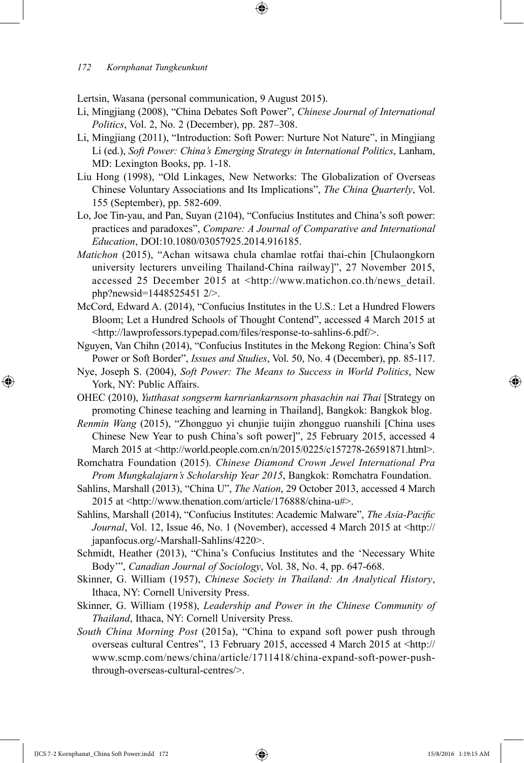Lertsin, Wasana (personal communication, 9 August 2015).

- Li, Mingjiang (2008), "China Debates Soft Power", *Chinese Journal of International Politics*, Vol. 2, No. 2 (December), pp. 287–308.
- Li, Mingjiang (2011), "Introduction: Soft Power: Nurture Not Nature", in Mingjiang Li (ed.), *Soft Power: China's Emerging Strategy in International Politics*, Lanham, MD: Lexington Books, pp. 1-18.
- Liu Hong (1998), "Old Linkages, New Networks: The Globalization of Overseas Chinese Voluntary Associations and Its Implications", *The China Quarterly*, Vol. 155 (September), pp. 582-609.
- Lo, Joe Tin-yau, and Pan, Suyan (2104), "Confucius Institutes and China's soft power: practices and paradoxes", *Compare: A Journal of Comparative and International Education*, DOI:10.1080/03057925.2014.916185.
- *Matichon* (2015), "Achan witsawa chula chamlae rotfai thai-chin [Chulaongkorn university lecturers unveiling Thailand-China railway]", 27 November 2015, accessed 25 December 2015 at <http://www.matichon.co.th/news\_detail. php?newsid=1448525451 2/>.
- McCord, Edward A. (2014), "Confucius Institutes in the U.S.: Let a Hundred Flowers Bloom; Let a Hundred Schools of Thought Contend", accessed 4 March 2015 at <http://lawprofessors.typepad.com/files/response-to-sahlins-6.pdf/>.
- Nguyen, Van Chihn (2014), "Confucius Institutes in the Mekong Region: China's Soft Power or Soft Border", *Issues and Studies*, Vol. 50, No. 4 (December), pp. 85-117.
- Nye, Joseph S. (2004), *Soft Power: The Means to Success in World Politics*, New York, NY: Public Affairs.
- OHEC (2010), *Yutthasat songserm karnriankarnsorn phasachin nai Thai* [Strategy on promoting Chinese teaching and learning in Thailand], Bangkok: Bangkok blog.
- *Renmin Wang* (2015), "Zhongguo yi chunjie tuijin zhongguo ruanshili [China uses Chinese New Year to push China's soft power]", 25 February 2015, accessed 4 March 2015 at <http://world.people.com.cn/n/2015/0225/c157278-26591871.html>.
- Romchatra Foundation (2015). *Chinese Diamond Crown Jewel International Pra Prom Mungkalajarn's Scholarship Year 2015*, Bangkok: Romchatra Foundation.
- Sahlins, Marshall (2013), "China U", *The Nation*, 29 October 2013, accessed 4 March 2015 at <http://www.thenation.com/article/176888/china-u#>.
- Sahlins, Marshall (2014), "Confucius Institutes: Academic Malware", *The Asia-Pacific Journal*, Vol. 12, Issue 46, No. 1 (November), accessed 4 March 2015 at <http:// japanfocus.org/-Marshall-Sahlins/4220>.
- Schmidt, Heather (2013), "China's Confucius Institutes and the 'Necessary White Body'", *Canadian Journal of Sociology*, Vol. 38, No. 4, pp. 647-668.
- Skinner, G. William (1957), *Chinese Society in Thailand: An Analytical History*, Ithaca, NY: Cornell University Press.
- Skinner, G. William (1958), *Leadership and Power in the Chinese Community of Thailand*, Ithaca, NY: Cornell University Press.
- *South China Morning Post* (2015a), "China to expand soft power push through overseas cultural Centres", 13 February 2015, accessed 4 March 2015 at <http:// www.scmp.com/news/china/article/1711418/china-expand-soft-power-pushthrough-overseas-cultural-centres/>.

↔

↔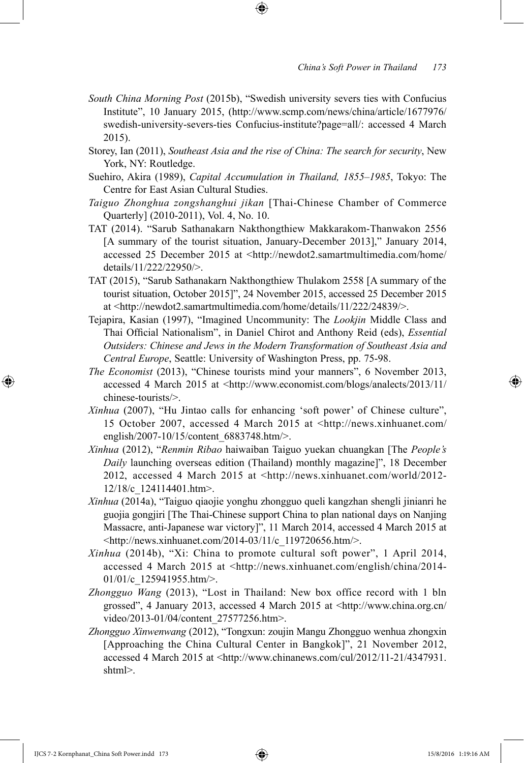- *South China Morning Post* (2015b), "Swedish university severs ties with Confucius Institute", 10 January 2015, (http://www.scmp.com/news/china/article/1677976/ swedish-university-severs-ties Confucius-institute?page=all/: accessed 4 March 2015).
- Storey, Ian (2011), *Southeast Asia and the rise of China: The search for security*, New York, NY: Routledge.
- Suehiro, Akira (1989), *Capital Accumulation in Thailand, 1855–1985*, Tokyo: The Centre for East Asian Cultural Studies.
- *Taiguo Zhonghua zongshanghui jikan* [Thai-Chinese Chamber of Commerce Quarterly] (2010-2011), Vol. 4, No. 10.
- TAT (2014). "Sarub Sathanakarn Nakthongthiew Makkarakom-Thanwakon 2556 [A summary of the tourist situation, January-December 2013]," January 2014, accessed 25 December 2015 at <http://newdot2.samartmultimedia.com/home/ details/11/222/22950/>.
- TAT (2015), "Sarub Sathanakarn Nakthongthiew Thulakom 2558 [A summary of the tourist situation, October 2015]", 24 November 2015, accessed 25 December 2015 at <http://newdot2.samartmultimedia.com/home/details/11/222/24839/>.
- Tejapira, Kasian (1997), "Imagined Uncommunity: The *Lookjin* Middle Class and Thai Official Nationalism", in Daniel Chirot and Anthony Reid (eds), *Essential Outsiders: Chinese and Jews in the Modern Transformation of Southeast Asia and Central Europe*, Seattle: University of Washington Press, pp. 75-98.
- *The Economist* (2013), "Chinese tourists mind your manners", 6 November 2013, accessed 4 March 2015 at <http://www.economist.com/blogs/analects/2013/11/ chinese-tourists/>.
- *Xinhua* (2007), "Hu Jintao calls for enhancing 'soft power' of Chinese culture", 15 October 2007, accessed 4 March 2015 at <http://news.xinhuanet.com/ english/2007-10/15/content\_6883748.htm/>.
- *Xinhua* (2012), "*Renmin Ribao* haiwaiban Taiguo yuekan chuangkan [The *People's Daily* launching overseas edition (Thailand) monthly magazine]", 18 December 2012, accessed 4 March 2015 at <http://news.xinhuanet.com/world/2012- 12/18/c\_124114401.htm>.
- *Xinhua* (2014a), "Taiguo qiaojie yonghu zhongguo queli kangzhan shengli jinianri he guojia gongjiri [The Thai-Chinese support China to plan national days on Nanjing Massacre, anti-Japanese war victory]", 11 March 2014, accessed 4 March 2015 at <http://news.xinhuanet.com/2014-03/11/c\_119720656.htm/>.
- *Xinhua* (2014b), "Xi: China to promote cultural soft power", 1 April 2014, accessed 4 March 2015 at <http://news.xinhuanet.com/english/china/2014- 01/01/c 125941955.htm/>.
- *Zhongguo Wang* (2013), "Lost in Thailand: New box office record with 1 bln grossed", 4 January 2013, accessed 4 March 2015 at <http://www.china.org.cn/ video/2013-01/04/content\_27577256.htm>.
- *Zhongguo Xinwenwang* (2012), "Tongxun: zoujin Mangu Zhongguo wenhua zhongxin [Approaching the China Cultural Center in Bangkok]", 21 November 2012, accessed 4 March 2015 at <http://www.chinanews.com/cul/2012/11-21/4347931. shtml>.

IJCS 7-2 Kornphanat\_China Soft Power.indd 173 15/8/2016 1:19:16 AM

⊕